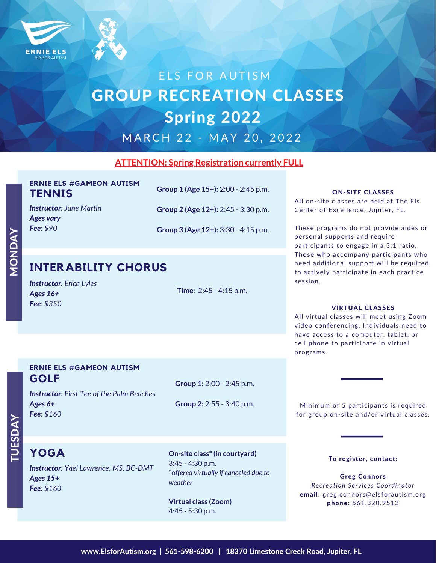

# ELS FOR AUTISM GROUP RECREATION CLASSES Spring 2022

M A R C H 2 2 - M A Y 20, 2022

## **ATTENTION: Spring Registration currently FULL**

|               | <b>ERNIE ELS #GAMEON AUTISM</b> |  |
|---------------|---------------------------------|--|
| <b>TENNIS</b> |                                 |  |

*Instructor: June Martin Ages vary Fee: \$90*

**Group 2 (Age 12+):** 2:45 - 3:30 p.m.

**Group 1 (Age 15+):** 2:00 - 2:45 p.m.

**Group 3 (Age 12+):** 3:30 - 4:15 p.m.

## **INTERABILITY CHORUS**

| <b>Instructor:</b> Erica Lyles |  |
|--------------------------------|--|
| Ages $16+$                     |  |
| Fee: \$350                     |  |

**Time**: 2:45 - 4:15 p.m.

### ON-SITE CLASSES

All on-site classes are held at The Els Center of Excellence, Jupiter, FL.

These programs do not provide aides or personal supports and require participants to engage in a 3:1 ratio. Those who accompany participants who need additional support will be required to actively participate in each practice session.

### VIRTUAL CLASSES

All virtual classes will meet using Zoom video conferencing. Individuals need to have access to a computer, tablet, or cell phone to participate in virtual programs.

## **ERNIE ELS #GAMEON AUTISM GOLF**

**Group 1:** 2:00 - 2:45 p.m.

*Instructor: First Tee of the Palm Beaches Ages 6+ Fee: \$160*

**Group 2:** 2:55 - 3:40 p.m.

Minimum of 5 participants is required for group on-site and/or virtual classes.

## $\vdash$  $\mathrel{\supset}$ <u>က</u>  $\boldsymbol{\cap}$  $\boldsymbol{\Sigma}$

 $\boldsymbol{\Sigma}$ OZ  $\mathbf \Omega$  $\boldsymbol{\Sigma}$  .

> *Instructor: Yael Lawrence, MS, BC-DMT Ages 15+ Fee: \$160* **YOGA**

**On-site class\* (in courtyard)** 3:45 - 4:30 p.m. \*o*ffered virtually if canceled due to weather*

**Virtual class (Zoom)** 4:45 - 5:30 p.m.

To register, contact:

Greg Connors *Recreation Services Coordinator* email: greg.connors@elsforautism.org phone: 561.320.9512